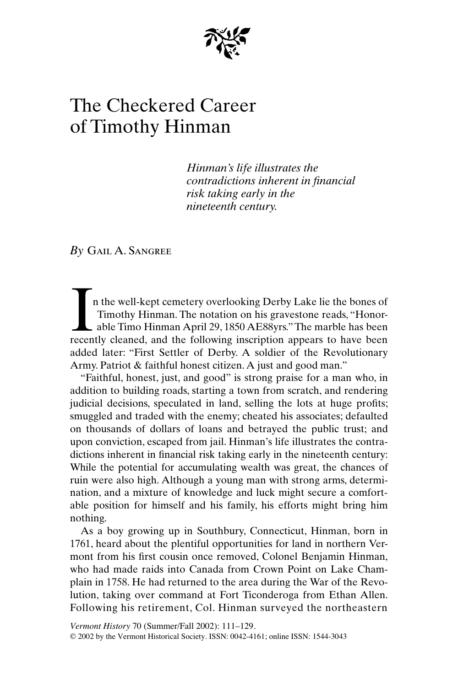

## The Checkered Career of Timothy Hinman

*Hinman's life illustrates the contradictions inherent in financial risk taking early in the nineteenth century.*

*By* Gail A. Sangree

n the well-kept cemetery overlooking Derby Lake lie the bones of Timothy Hinman. The notation on his gravestone reads, "Honorable Timo Hinman April 29, 1850 AE88yrs." The marble has been In the well-kept cemetery overlooking Derby Lake lie the bones of Timothy Hinman. The notation on his gravestone reads, "Honorable Timo Hinman April 29, 1850 AE88yrs." The marble has been recently cleaned, and the followin added later: "First Settler of Derby. A soldier of the Revolutionary Army. Patriot & faithful honest citizen. A just and good man."

"Faithful, honest, just, and good" is strong praise for a man who, in addition to building roads, starting a town from scratch, and rendering judicial decisions, speculated in land, selling the lots at huge profits; smuggled and traded with the enemy; cheated his associates; defaulted on thousands of dollars of loans and betrayed the public trust; and upon conviction, escaped from jail. Hinman's life illustrates the contradictions inherent in financial risk taking early in the nineteenth century: While the potential for accumulating wealth was great, the chances of ruin were also high. Although a young man with strong arms, determination, and a mixture of knowledge and luck might secure a comfortable position for himself and his family, his efforts might bring him nothing.

As a boy growing up in Southbury, Connecticut, Hinman, born in 1761, heard about the plentiful opportunities for land in northern Vermont from his first cousin once removed, Colonel Benjamin Hinman, who had made raids into Canada from Crown Point on Lake Champlain in 1758. He had returned to the area during the War of the Revolution, taking over command at Fort Ticonderoga from Ethan Allen. Following his retirement, Col. Hinman surveyed the northeastern

*Vermont History* 70 (Summer/Fall 2002): 111–129. © 2002 by the Vermont Historical Society. ISSN: 0042-4161; online ISSN: 1544-3043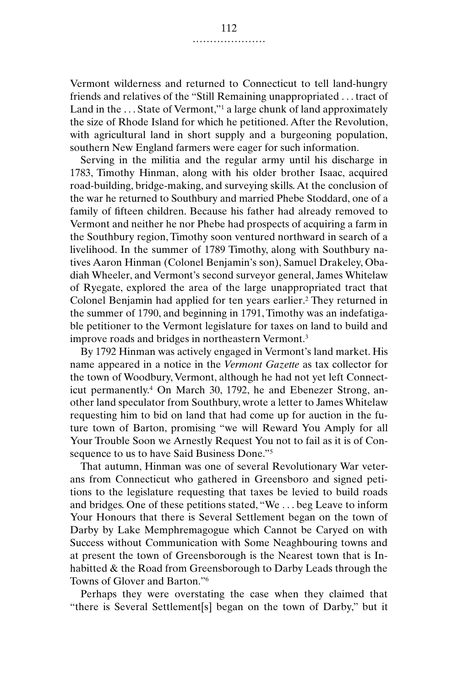Vermont wilderness and returned to Connecticut to tell land-hungry friends and relatives of the "Still Remaining unappropriated . . . tract of Land in the ... State of Vermont,"<sup>1</sup> a large chunk of land approximately the size of Rhode Island for which he petitioned. After the Revolution, with agricultural land in short supply and a burgeoning population, southern New England farmers were eager for such information.

Serving in the militia and the regular army until his discharge in 1783, Timothy Hinman, along with his older brother Isaac, acquired road-building, bridge-making, and surveying skills. At the conclusion of the war he returned to Southbury and married Phebe Stoddard, one of a family of fifteen children. Because his father had already removed to Vermont and neither he nor Phebe had prospects of acquiring a farm in the Southbury region, Timothy soon ventured northward in search of a livelihood. In the summer of 1789 Timothy, along with Southbury natives Aaron Hinman (Colonel Benjamin's son), Samuel Drakeley, Obadiah Wheeler, and Vermont's second surveyor general, James Whitelaw of Ryegate, explored the area of the large unappropriated tract that Colonel Benjamin had applied for ten years earlier.<sup>2</sup> They returned in the summer of 1790, and beginning in 1791, Timothy was an indefatigable petitioner to the Vermont legislature for taxes on land to build and improve roads and bridges in northeastern Vermont.3

By 1792 Hinman was actively engaged in Vermont's land market. His name appeared in a notice in the *Vermont Gazette* as tax collector for the town of Woodbury, Vermont, although he had not yet left Connecticut permanently.4 On March 30, 1792, he and Ebenezer Strong, another land speculator from Southbury, wrote a letter to James Whitelaw requesting him to bid on land that had come up for auction in the future town of Barton, promising "we will Reward You Amply for all Your Trouble Soon we Arnestly Request You not to fail as it is of Consequence to us to have Said Business Done."5

That autumn, Hinman was one of several Revolutionary War veterans from Connecticut who gathered in Greensboro and signed petitions to the legislature requesting that taxes be levied to build roads and bridges. One of these petitions stated, "We . . . beg Leave to inform Your Honours that there is Several Settlement began on the town of Darby by Lake Memphremagogue which Cannot be Caryed on with Success without Communication with Some Neaghbouring towns and at present the town of Greensborough is the Nearest town that is Inhabitted & the Road from Greensborough to Darby Leads through the Towns of Glover and Barton."6

Perhaps they were overstating the case when they claimed that "there is Several Settlement[s] began on the town of Darby," but it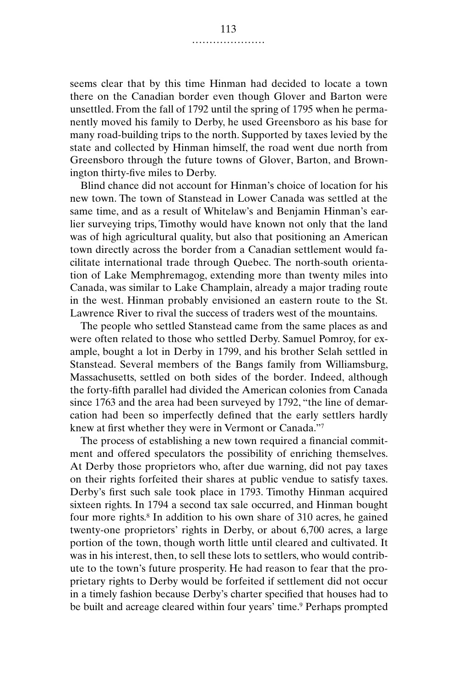seems clear that by this time Hinman had decided to locate a town there on the Canadian border even though Glover and Barton were unsettled. From the fall of 1792 until the spring of 1795 when he permanently moved his family to Derby, he used Greensboro as his base for many road-building trips to the north. Supported by taxes levied by the state and collected by Hinman himself, the road went due north from Greensboro through the future towns of Glover, Barton, and Brownington thirty-five miles to Derby.

Blind chance did not account for Hinman's choice of location for his new town. The town of Stanstead in Lower Canada was settled at the same time, and as a result of Whitelaw's and Benjamin Hinman's earlier surveying trips, Timothy would have known not only that the land was of high agricultural quality, but also that positioning an American town directly across the border from a Canadian settlement would facilitate international trade through Quebec. The north-south orientation of Lake Memphremagog, extending more than twenty miles into Canada, was similar to Lake Champlain, already a major trading route in the west. Hinman probably envisioned an eastern route to the St. Lawrence River to rival the success of traders west of the mountains.

The people who settled Stanstead came from the same places as and were often related to those who settled Derby. Samuel Pomroy, for example, bought a lot in Derby in 1799, and his brother Selah settled in Stanstead. Several members of the Bangs family from Williamsburg, Massachusetts, settled on both sides of the border. Indeed, although the forty-fifth parallel had divided the American colonies from Canada since 1763 and the area had been surveyed by 1792, "the line of demarcation had been so imperfectly defined that the early settlers hardly knew at first whether they were in Vermont or Canada."7

The process of establishing a new town required a financial commitment and offered speculators the possibility of enriching themselves. At Derby those proprietors who, after due warning, did not pay taxes on their rights forfeited their shares at public vendue to satisfy taxes. Derby's first such sale took place in 1793. Timothy Hinman acquired sixteen rights. In 1794 a second tax sale occurred, and Hinman bought four more rights.<sup>8</sup> In addition to his own share of 310 acres, he gained twenty-one proprietors' rights in Derby, or about 6,700 acres, a large portion of the town, though worth little until cleared and cultivated. It was in his interest, then, to sell these lots to settlers, who would contribute to the town's future prosperity. He had reason to fear that the proprietary rights to Derby would be forfeited if settlement did not occur in a timely fashion because Derby's charter specified that houses had to be built and acreage cleared within four years' time.<sup>9</sup> Perhaps prompted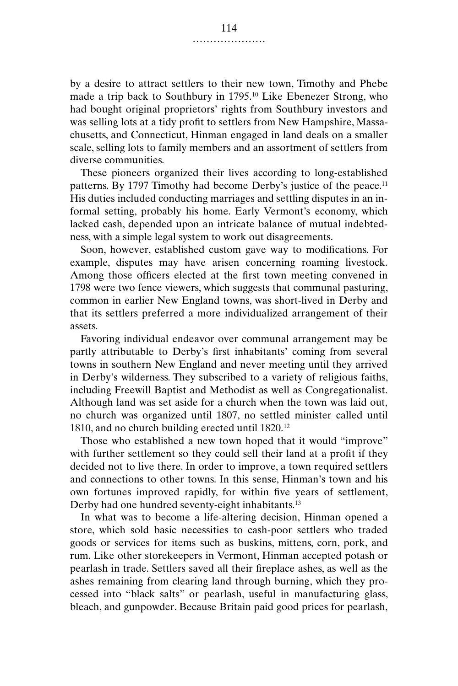by a desire to attract settlers to their new town, Timothy and Phebe made a trip back to Southbury in 1795.10 Like Ebenezer Strong, who had bought original proprietors' rights from Southbury investors and was selling lots at a tidy profit to settlers from New Hampshire, Massachusetts, and Connecticut, Hinman engaged in land deals on a smaller scale, selling lots to family members and an assortment of settlers from diverse communities.

These pioneers organized their lives according to long-established patterns. By 1797 Timothy had become Derby's justice of the peace.<sup>11</sup> His duties included conducting marriages and settling disputes in an informal setting, probably his home. Early Vermont's economy, which lacked cash, depended upon an intricate balance of mutual indebtedness, with a simple legal system to work out disagreements.

Soon, however, established custom gave way to modifications. For example, disputes may have arisen concerning roaming livestock. Among those officers elected at the first town meeting convened in 1798 were two fence viewers, which suggests that communal pasturing, common in earlier New England towns, was short-lived in Derby and that its settlers preferred a more individualized arrangement of their assets.

Favoring individual endeavor over communal arrangement may be partly attributable to Derby's first inhabitants' coming from several towns in southern New England and never meeting until they arrived in Derby's wilderness. They subscribed to a variety of religious faiths, including Freewill Baptist and Methodist as well as Congregationalist. Although land was set aside for a church when the town was laid out, no church was organized until 1807, no settled minister called until 1810, and no church building erected until 1820.12

Those who established a new town hoped that it would "improve" with further settlement so they could sell their land at a profit if they decided not to live there. In order to improve, a town required settlers and connections to other towns. In this sense, Hinman's town and his own fortunes improved rapidly, for within five years of settlement, Derby had one hundred seventy-eight inhabitants.<sup>13</sup>

In what was to become a life-altering decision, Hinman opened a store, which sold basic necessities to cash-poor settlers who traded goods or services for items such as buskins, mittens, corn, pork, and rum. Like other storekeepers in Vermont, Hinman accepted potash or pearlash in trade. Settlers saved all their fireplace ashes, as well as the ashes remaining from clearing land through burning, which they processed into "black salts" or pearlash, useful in manufacturing glass, bleach, and gunpowder. Because Britain paid good prices for pearlash,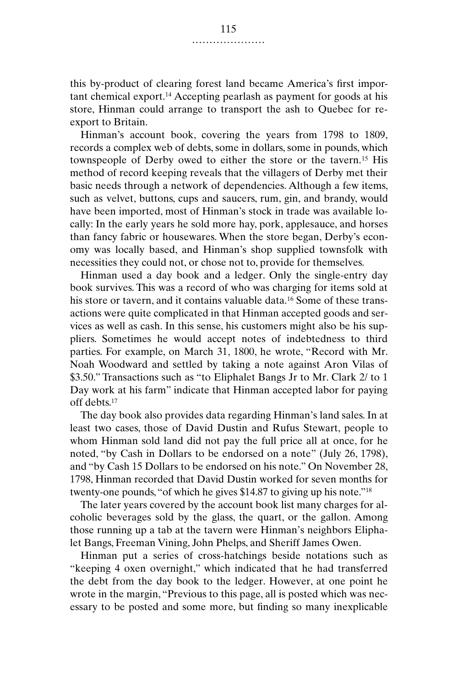this by-product of clearing forest land became America's first important chemical export.14 Accepting pearlash as payment for goods at his store, Hinman could arrange to transport the ash to Quebec for reexport to Britain.

Hinman's account book, covering the years from 1798 to 1809, records a complex web of debts, some in dollars, some in pounds, which townspeople of Derby owed to either the store or the tavern.15 His method of record keeping reveals that the villagers of Derby met their basic needs through a network of dependencies. Although a few items, such as velvet, buttons, cups and saucers, rum, gin, and brandy, would have been imported, most of Hinman's stock in trade was available locally: In the early years he sold more hay, pork, applesauce, and horses than fancy fabric or housewares. When the store began, Derby's economy was locally based, and Hinman's shop supplied townsfolk with necessities they could not, or chose not to, provide for themselves.

Hinman used a day book and a ledger. Only the single-entry day book survives. This was a record of who was charging for items sold at his store or tavern, and it contains valuable data.<sup>16</sup> Some of these transactions were quite complicated in that Hinman accepted goods and services as well as cash. In this sense, his customers might also be his suppliers. Sometimes he would accept notes of indebtedness to third parties. For example, on March 31, 1800, he wrote, "Record with Mr. Noah Woodward and settled by taking a note against Aron Vilas of \$3.50." Transactions such as "to Eliphalet Bangs Jr to Mr. Clark 2/ to 1 Day work at his farm" indicate that Hinman accepted labor for paying off debts.17

The day book also provides data regarding Hinman's land sales. In at least two cases, those of David Dustin and Rufus Stewart, people to whom Hinman sold land did not pay the full price all at once, for he noted, "by Cash in Dollars to be endorsed on a note" (July 26, 1798), and "by Cash 15 Dollars to be endorsed on his note." On November 28, 1798, Hinman recorded that David Dustin worked for seven months for twenty-one pounds, "of which he gives \$14.87 to giving up his note."18

The later years covered by the account book list many charges for alcoholic beverages sold by the glass, the quart, or the gallon. Among those running up a tab at the tavern were Hinman's neighbors Eliphalet Bangs, Freeman Vining, John Phelps, and Sheriff James Owen.

Hinman put a series of cross-hatchings beside notations such as "keeping 4 oxen overnight," which indicated that he had transferred the debt from the day book to the ledger. However, at one point he wrote in the margin, "Previous to this page, all is posted which was necessary to be posted and some more, but finding so many inexplicable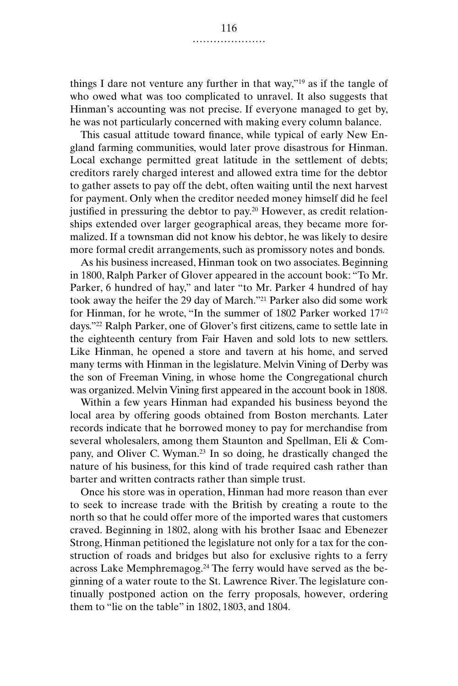things I dare not venture any further in that way,"19 as if the tangle of who owed what was too complicated to unravel. It also suggests that Hinman's accounting was not precise. If everyone managed to get by, he was not particularly concerned with making every column balance.

This casual attitude toward finance, while typical of early New England farming communities, would later prove disastrous for Hinman. Local exchange permitted great latitude in the settlement of debts; creditors rarely charged interest and allowed extra time for the debtor to gather assets to pay off the debt, often waiting until the next harvest for payment. Only when the creditor needed money himself did he feel justified in pressuring the debtor to pay.<sup>20</sup> However, as credit relationships extended over larger geographical areas, they became more formalized. If a townsman did not know his debtor, he was likely to desire more formal credit arrangements, such as promissory notes and bonds.

As his business increased, Hinman took on two associates. Beginning in 1800, Ralph Parker of Glover appeared in the account book: "To Mr. Parker, 6 hundred of hay," and later "to Mr. Parker 4 hundred of hay took away the heifer the 29 day of March."21 Parker also did some work for Hinman, for he wrote, "In the summer of 1802 Parker worked 17<sup>1/2</sup> days."22 Ralph Parker, one of Glover's first citizens, came to settle late in the eighteenth century from Fair Haven and sold lots to new settlers. Like Hinman, he opened a store and tavern at his home, and served many terms with Hinman in the legislature. Melvin Vining of Derby was the son of Freeman Vining, in whose home the Congregational church was organized. Melvin Vining first appeared in the account book in 1808.

Within a few years Hinman had expanded his business beyond the local area by offering goods obtained from Boston merchants. Later records indicate that he borrowed money to pay for merchandise from several wholesalers, among them Staunton and Spellman, Eli & Company, and Oliver C. Wyman.23 In so doing, he drastically changed the nature of his business, for this kind of trade required cash rather than barter and written contracts rather than simple trust.

Once his store was in operation, Hinman had more reason than ever to seek to increase trade with the British by creating a route to the north so that he could offer more of the imported wares that customers craved. Beginning in 1802, along with his brother Isaac and Ebenezer Strong, Hinman petitioned the legislature not only for a tax for the construction of roads and bridges but also for exclusive rights to a ferry across Lake Memphremagog.24 The ferry would have served as the beginning of a water route to the St. Lawrence River. The legislature continually postponed action on the ferry proposals, however, ordering them to "lie on the table" in 1802, 1803, and 1804.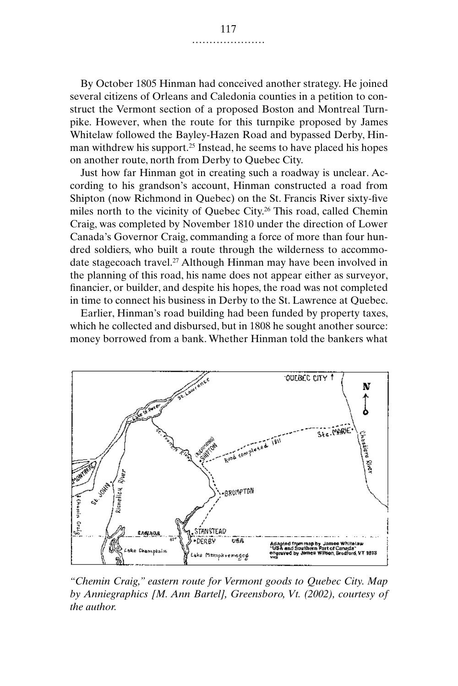By October 1805 Hinman had conceived another strategy. He joined several citizens of Orleans and Caledonia counties in a petition to construct the Vermont section of a proposed Boston and Montreal Turnpike. However, when the route for this turnpike proposed by James Whitelaw followed the Bayley-Hazen Road and bypassed Derby, Hinman withdrew his support.<sup>25</sup> Instead, he seems to have placed his hopes on another route, north from Derby to Quebec City.

Just how far Hinman got in creating such a roadway is unclear. According to his grandson's account, Hinman constructed a road from Shipton (now Richmond in Quebec) on the St. Francis River sixty-five miles north to the vicinity of Quebec City.<sup>26</sup> This road, called Chemin Craig, was completed by November 1810 under the direction of Lower Canada's Governor Craig, commanding a force of more than four hundred soldiers, who built a route through the wilderness to accommodate stagecoach travel.27 Although Hinman may have been involved in the planning of this road, his name does not appear either as surveyor, financier, or builder, and despite his hopes, the road was not completed in time to connect his business in Derby to the St. Lawrence at Quebec.

Earlier, Hinman's road building had been funded by property taxes, which he collected and disbursed, but in 1808 he sought another source: money borrowed from a bank. Whether Hinman told the bankers what



*"Chemin Craig," eastern route for Vermont goods to Quebec City. Map by Anniegraphics [M. Ann Bartel], Greensboro, Vt. (2002), courtesy of the author.*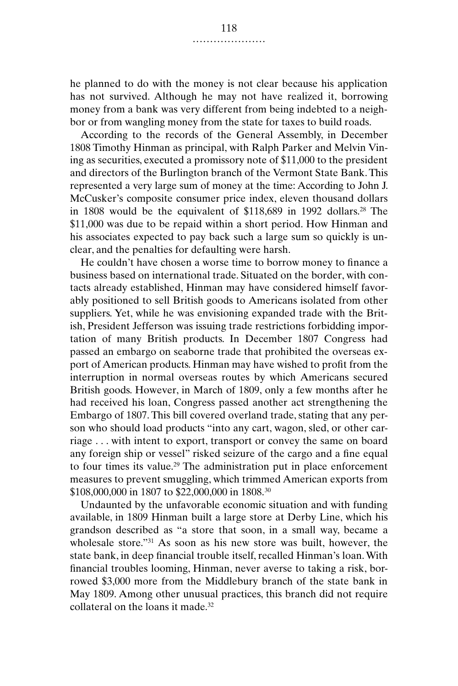he planned to do with the money is not clear because his application has not survived. Although he may not have realized it, borrowing money from a bank was very different from being indebted to a neighbor or from wangling money from the state for taxes to build roads.

According to the records of the General Assembly, in December 1808 Timothy Hinman as principal, with Ralph Parker and Melvin Vining as securities, executed a promissory note of \$11,000 to the president and directors of the Burlington branch of the Vermont State Bank. This represented a very large sum of money at the time: According to John J. McCusker's composite consumer price index, eleven thousand dollars in 1808 would be the equivalent of \$118,689 in 1992 dollars.28 The \$11,000 was due to be repaid within a short period. How Hinman and his associates expected to pay back such a large sum so quickly is unclear, and the penalties for defaulting were harsh.

He couldn't have chosen a worse time to borrow money to finance a business based on international trade. Situated on the border, with contacts already established, Hinman may have considered himself favorably positioned to sell British goods to Americans isolated from other suppliers. Yet, while he was envisioning expanded trade with the British, President Jefferson was issuing trade restrictions forbidding importation of many British products. In December 1807 Congress had passed an embargo on seaborne trade that prohibited the overseas export of American products. Hinman may have wished to profit from the interruption in normal overseas routes by which Americans secured British goods. However, in March of 1809, only a few months after he had received his loan, Congress passed another act strengthening the Embargo of 1807. This bill covered overland trade, stating that any person who should load products "into any cart, wagon, sled, or other carriage . . . with intent to export, transport or convey the same on board any foreign ship or vessel" risked seizure of the cargo and a fine equal to four times its value.29 The administration put in place enforcement measures to prevent smuggling, which trimmed American exports from \$108,000,000 in 1807 to \$22,000,000 in 1808.30

Undaunted by the unfavorable economic situation and with funding available, in 1809 Hinman built a large store at Derby Line, which his grandson described as "a store that soon, in a small way, became a wholesale store."<sup>31</sup> As soon as his new store was built, however, the state bank, in deep financial trouble itself, recalled Hinman's loan. With financial troubles looming, Hinman, never averse to taking a risk, borrowed \$3,000 more from the Middlebury branch of the state bank in May 1809. Among other unusual practices, this branch did not require collateral on the loans it made.32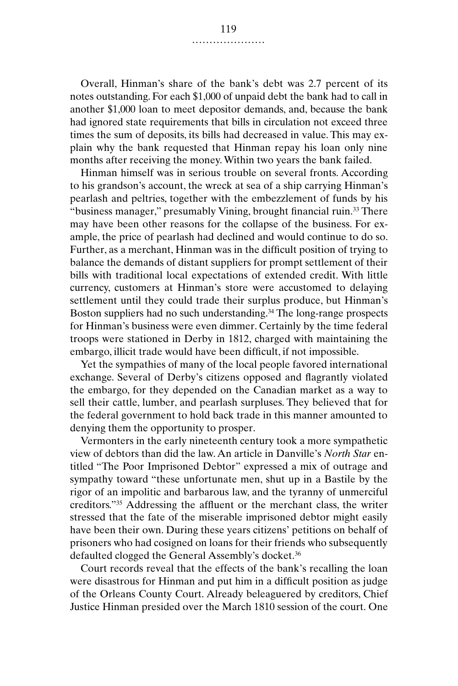Overall, Hinman's share of the bank's debt was 2.7 percent of its notes outstanding. For each \$1,000 of unpaid debt the bank had to call in another \$1,000 loan to meet depositor demands, and, because the bank had ignored state requirements that bills in circulation not exceed three times the sum of deposits, its bills had decreased in value. This may explain why the bank requested that Hinman repay his loan only nine months after receiving the money. Within two years the bank failed.

Hinman himself was in serious trouble on several fronts. According to his grandson's account, the wreck at sea of a ship carrying Hinman's pearlash and peltries, together with the embezzlement of funds by his "business manager," presumably Vining, brought financial ruin.<sup>33</sup> There may have been other reasons for the collapse of the business. For example, the price of pearlash had declined and would continue to do so. Further, as a merchant, Hinman was in the difficult position of trying to balance the demands of distant suppliers for prompt settlement of their bills with traditional local expectations of extended credit. With little currency, customers at Hinman's store were accustomed to delaying settlement until they could trade their surplus produce, but Hinman's Boston suppliers had no such understanding.34 The long-range prospects for Hinman's business were even dimmer. Certainly by the time federal troops were stationed in Derby in 1812, charged with maintaining the embargo, illicit trade would have been difficult, if not impossible.

Yet the sympathies of many of the local people favored international exchange. Several of Derby's citizens opposed and flagrantly violated the embargo, for they depended on the Canadian market as a way to sell their cattle, lumber, and pearlash surpluses. They believed that for the federal government to hold back trade in this manner amounted to denying them the opportunity to prosper.

Vermonters in the early nineteenth century took a more sympathetic view of debtors than did the law. An article in Danville's *North Star* entitled "The Poor Imprisoned Debtor" expressed a mix of outrage and sympathy toward "these unfortunate men, shut up in a Bastile by the rigor of an impolitic and barbarous law, and the tyranny of unmerciful creditors."35 Addressing the affluent or the merchant class, the writer stressed that the fate of the miserable imprisoned debtor might easily have been their own. During these years citizens' petitions on behalf of prisoners who had cosigned on loans for their friends who subsequently defaulted clogged the General Assembly's docket.<sup>36</sup>

Court records reveal that the effects of the bank's recalling the loan were disastrous for Hinman and put him in a difficult position as judge of the Orleans County Court. Already beleaguered by creditors, Chief Justice Hinman presided over the March 1810 session of the court. One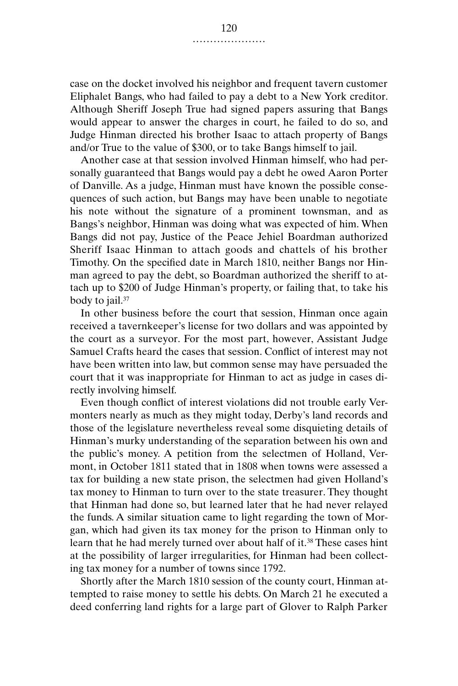case on the docket involved his neighbor and frequent tavern customer Eliphalet Bangs, who had failed to pay a debt to a New York creditor. Although Sheriff Joseph True had signed papers assuring that Bangs would appear to answer the charges in court, he failed to do so, and Judge Hinman directed his brother Isaac to attach property of Bangs and/or True to the value of \$300, or to take Bangs himself to jail.

Another case at that session involved Hinman himself, who had personally guaranteed that Bangs would pay a debt he owed Aaron Porter of Danville. As a judge, Hinman must have known the possible consequences of such action, but Bangs may have been unable to negotiate his note without the signature of a prominent townsman, and as Bangs's neighbor, Hinman was doing what was expected of him. When Bangs did not pay, Justice of the Peace Jehiel Boardman authorized Sheriff Isaac Hinman to attach goods and chattels of his brother Timothy. On the specified date in March 1810, neither Bangs nor Hinman agreed to pay the debt, so Boardman authorized the sheriff to attach up to \$200 of Judge Hinman's property, or failing that, to take his body to jail.<sup>37</sup>

In other business before the court that session, Hinman once again received a tavernkeeper's license for two dollars and was appointed by the court as a surveyor. For the most part, however, Assistant Judge Samuel Crafts heard the cases that session. Conflict of interest may not have been written into law, but common sense may have persuaded the court that it was inappropriate for Hinman to act as judge in cases directly involving himself.

Even though conflict of interest violations did not trouble early Vermonters nearly as much as they might today, Derby's land records and those of the legislature nevertheless reveal some disquieting details of Hinman's murky understanding of the separation between his own and the public's money. A petition from the selectmen of Holland, Vermont, in October 1811 stated that in 1808 when towns were assessed a tax for building a new state prison, the selectmen had given Holland's tax money to Hinman to turn over to the state treasurer. They thought that Hinman had done so, but learned later that he had never relayed the funds. A similar situation came to light regarding the town of Morgan, which had given its tax money for the prison to Hinman only to learn that he had merely turned over about half of it.38 These cases hint at the possibility of larger irregularities, for Hinman had been collecting tax money for a number of towns since 1792.

Shortly after the March 1810 session of the county court, Hinman attempted to raise money to settle his debts. On March 21 he executed a deed conferring land rights for a large part of Glover to Ralph Parker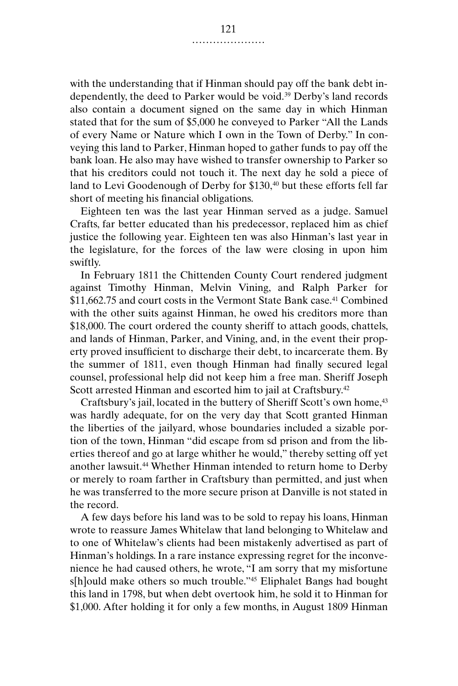with the understanding that if Hinman should pay off the bank debt independently, the deed to Parker would be void.39 Derby's land records also contain a document signed on the same day in which Hinman stated that for the sum of \$5,000 he conveyed to Parker "All the Lands of every Name or Nature which I own in the Town of Derby." In conveying this land to Parker, Hinman hoped to gather funds to pay off the bank loan. He also may have wished to transfer ownership to Parker so that his creditors could not touch it. The next day he sold a piece of land to Levi Goodenough of Derby for \$130,<sup>40</sup> but these efforts fell far short of meeting his financial obligations.

Eighteen ten was the last year Hinman served as a judge. Samuel Crafts, far better educated than his predecessor, replaced him as chief justice the following year. Eighteen ten was also Hinman's last year in the legislature, for the forces of the law were closing in upon him swiftly.

In February 1811 the Chittenden County Court rendered judgment against Timothy Hinman, Melvin Vining, and Ralph Parker for \$11,662.75 and court costs in the Vermont State Bank case.<sup>41</sup> Combined with the other suits against Hinman, he owed his creditors more than \$18,000. The court ordered the county sheriff to attach goods, chattels, and lands of Hinman, Parker, and Vining, and, in the event their property proved insufficient to discharge their debt, to incarcerate them. By the summer of 1811, even though Hinman had finally secured legal counsel, professional help did not keep him a free man. Sheriff Joseph Scott arrested Hinman and escorted him to jail at Craftsbury.<sup>42</sup>

Craftsbury's jail, located in the buttery of Sheriff Scott's own home,<sup>43</sup> was hardly adequate, for on the very day that Scott granted Hinman the liberties of the jailyard, whose boundaries included a sizable portion of the town, Hinman "did escape from sd prison and from the liberties thereof and go at large whither he would," thereby setting off yet another lawsuit.<sup>44</sup> Whether Hinman intended to return home to Derby or merely to roam farther in Craftsbury than permitted, and just when he was transferred to the more secure prison at Danville is not stated in the record.

A few days before his land was to be sold to repay his loans, Hinman wrote to reassure James Whitelaw that land belonging to Whitelaw and to one of Whitelaw's clients had been mistakenly advertised as part of Hinman's holdings. In a rare instance expressing regret for the inconvenience he had caused others, he wrote, "I am sorry that my misfortune s[h]ould make others so much trouble."45 Eliphalet Bangs had bought this land in 1798, but when debt overtook him, he sold it to Hinman for \$1,000. After holding it for only a few months, in August 1809 Hinman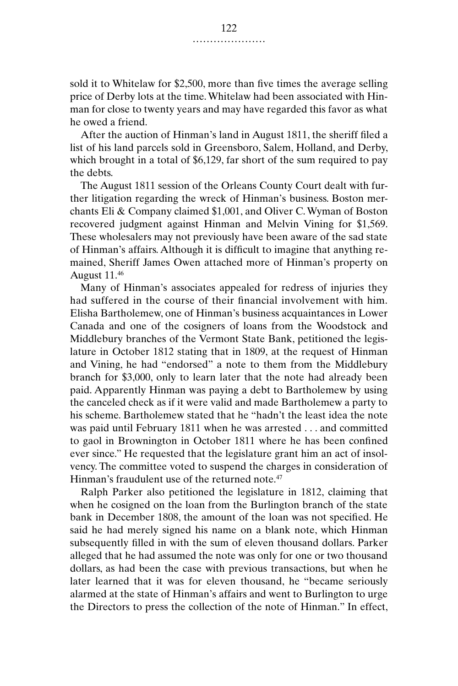sold it to Whitelaw for \$2,500, more than five times the average selling price of Derby lots at the time. Whitelaw had been associated with Hinman for close to twenty years and may have regarded this favor as what he owed a friend.

After the auction of Hinman's land in August 1811, the sheriff filed a list of his land parcels sold in Greensboro, Salem, Holland, and Derby, which brought in a total of \$6,129, far short of the sum required to pay the debts.

The August 1811 session of the Orleans County Court dealt with further litigation regarding the wreck of Hinman's business. Boston merchants Eli & Company claimed \$1,001, and Oliver C. Wyman of Boston recovered judgment against Hinman and Melvin Vining for \$1,569. These wholesalers may not previously have been aware of the sad state of Hinman's affairs. Although it is difficult to imagine that anything remained, Sheriff James Owen attached more of Hinman's property on August 11.46

Many of Hinman's associates appealed for redress of injuries they had suffered in the course of their financial involvement with him. Elisha Bartholemew, one of Hinman's business acquaintances in Lower Canada and one of the cosigners of loans from the Woodstock and Middlebury branches of the Vermont State Bank, petitioned the legislature in October 1812 stating that in 1809, at the request of Hinman and Vining, he had "endorsed" a note to them from the Middlebury branch for \$3,000, only to learn later that the note had already been paid. Apparently Hinman was paying a debt to Bartholemew by using the canceled check as if it were valid and made Bartholemew a party to his scheme. Bartholemew stated that he "hadn't the least idea the note was paid until February 1811 when he was arrested . . . and committed to gaol in Brownington in October 1811 where he has been confined ever since." He requested that the legislature grant him an act of insolvency. The committee voted to suspend the charges in consideration of Hinman's fraudulent use of the returned note.<sup>47</sup>

Ralph Parker also petitioned the legislature in 1812, claiming that when he cosigned on the loan from the Burlington branch of the state bank in December 1808, the amount of the loan was not specified. He said he had merely signed his name on a blank note, which Hinman subsequently filled in with the sum of eleven thousand dollars. Parker alleged that he had assumed the note was only for one or two thousand dollars, as had been the case with previous transactions, but when he later learned that it was for eleven thousand, he "became seriously alarmed at the state of Hinman's affairs and went to Burlington to urge the Directors to press the collection of the note of Hinman." In effect,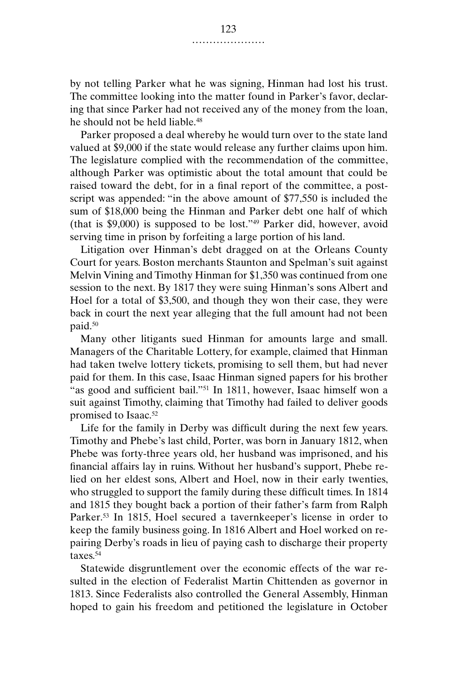by not telling Parker what he was signing, Hinman had lost his trust. The committee looking into the matter found in Parker's favor, declaring that since Parker had not received any of the money from the loan, he should not be held liable.<sup>48</sup>

Parker proposed a deal whereby he would turn over to the state land valued at \$9,000 if the state would release any further claims upon him. The legislature complied with the recommendation of the committee, although Parker was optimistic about the total amount that could be raised toward the debt, for in a final report of the committee, a postscript was appended: "in the above amount of \$77,550 is included the sum of \$18,000 being the Hinman and Parker debt one half of which (that is \$9,000) is supposed to be lost."49 Parker did, however, avoid serving time in prison by forfeiting a large portion of his land.

Litigation over Hinman's debt dragged on at the Orleans County Court for years. Boston merchants Staunton and Spelman's suit against Melvin Vining and Timothy Hinman for \$1,350 was continued from one session to the next. By 1817 they were suing Hinman's sons Albert and Hoel for a total of \$3,500, and though they won their case, they were back in court the next year alleging that the full amount had not been paid.50

Many other litigants sued Hinman for amounts large and small. Managers of the Charitable Lottery, for example, claimed that Hinman had taken twelve lottery tickets, promising to sell them, but had never paid for them. In this case, Isaac Hinman signed papers for his brother "as good and sufficient bail."51 In 1811, however, Isaac himself won a suit against Timothy, claiming that Timothy had failed to deliver goods promised to Isaac.<sup>52</sup>

Life for the family in Derby was difficult during the next few years. Timothy and Phebe's last child, Porter, was born in January 1812, when Phebe was forty-three years old, her husband was imprisoned, and his financial affairs lay in ruins. Without her husband's support, Phebe relied on her eldest sons, Albert and Hoel, now in their early twenties, who struggled to support the family during these difficult times. In 1814 and 1815 they bought back a portion of their father's farm from Ralph Parker.<sup>53</sup> In 1815, Hoel secured a tavernkeeper's license in order to keep the family business going. In 1816 Albert and Hoel worked on repairing Derby's roads in lieu of paying cash to discharge their property taxes.54

Statewide disgruntlement over the economic effects of the war resulted in the election of Federalist Martin Chittenden as governor in 1813. Since Federalists also controlled the General Assembly, Hinman hoped to gain his freedom and petitioned the legislature in October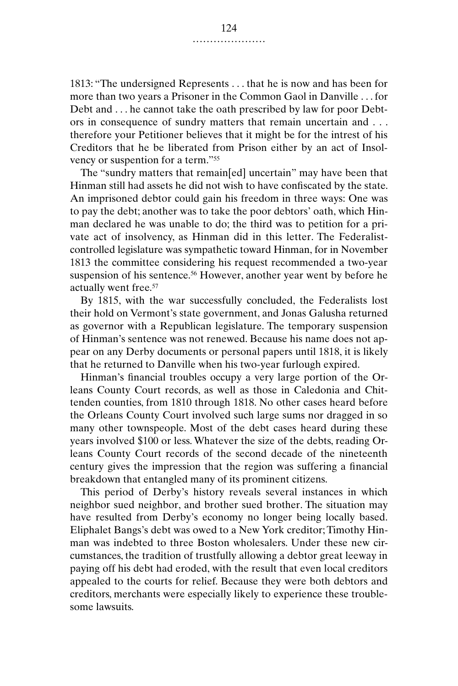1813: "The undersigned Represents . . . that he is now and has been for more than two years a Prisoner in the Common Gaol in Danville . . . for Debt and . . . he cannot take the oath prescribed by law for poor Debtors in consequence of sundry matters that remain uncertain and . . . therefore your Petitioner believes that it might be for the intrest of his Creditors that he be liberated from Prison either by an act of Insolvency or suspention for a term."55

The "sundry matters that remain[ed] uncertain" may have been that Hinman still had assets he did not wish to have confiscated by the state. An imprisoned debtor could gain his freedom in three ways: One was to pay the debt; another was to take the poor debtors' oath, which Hinman declared he was unable to do; the third was to petition for a private act of insolvency, as Hinman did in this letter. The Federalistcontrolled legislature was sympathetic toward Hinman, for in November 1813 the committee considering his request recommended a two-year suspension of his sentence.<sup>56</sup> However, another year went by before he actually went free.57

By 1815, with the war successfully concluded, the Federalists lost their hold on Vermont's state government, and Jonas Galusha returned as governor with a Republican legislature. The temporary suspension of Hinman's sentence was not renewed. Because his name does not appear on any Derby documents or personal papers until 1818, it is likely that he returned to Danville when his two-year furlough expired.

Hinman's financial troubles occupy a very large portion of the Orleans County Court records, as well as those in Caledonia and Chittenden counties, from 1810 through 1818. No other cases heard before the Orleans County Court involved such large sums nor dragged in so many other townspeople. Most of the debt cases heard during these years involved \$100 or less. Whatever the size of the debts, reading Orleans County Court records of the second decade of the nineteenth century gives the impression that the region was suffering a financial breakdown that entangled many of its prominent citizens.

This period of Derby's history reveals several instances in which neighbor sued neighbor, and brother sued brother. The situation may have resulted from Derby's economy no longer being locally based. Eliphalet Bangs's debt was owed to a New York creditor; Timothy Hinman was indebted to three Boston wholesalers. Under these new circumstances, the tradition of trustfully allowing a debtor great leeway in paying off his debt had eroded, with the result that even local creditors appealed to the courts for relief. Because they were both debtors and creditors, merchants were especially likely to experience these troublesome lawsuits.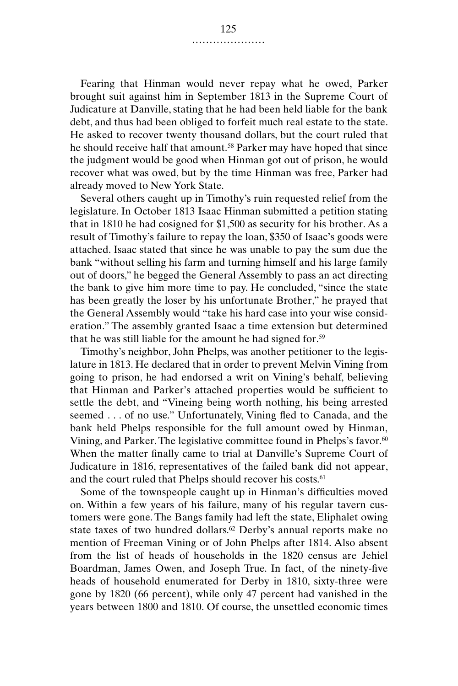Fearing that Hinman would never repay what he owed, Parker brought suit against him in September 1813 in the Supreme Court of Judicature at Danville, stating that he had been held liable for the bank debt, and thus had been obliged to forfeit much real estate to the state. He asked to recover twenty thousand dollars, but the court ruled that he should receive half that amount.<sup>58</sup> Parker may have hoped that since the judgment would be good when Hinman got out of prison, he would recover what was owed, but by the time Hinman was free, Parker had already moved to New York State.

Several others caught up in Timothy's ruin requested relief from the legislature. In October 1813 Isaac Hinman submitted a petition stating that in 1810 he had cosigned for \$1,500 as security for his brother. As a result of Timothy's failure to repay the loan, \$350 of Isaac's goods were attached. Isaac stated that since he was unable to pay the sum due the bank "without selling his farm and turning himself and his large family out of doors," he begged the General Assembly to pass an act directing the bank to give him more time to pay. He concluded, "since the state has been greatly the loser by his unfortunate Brother," he prayed that the General Assembly would "take his hard case into your wise consideration." The assembly granted Isaac a time extension but determined that he was still liable for the amount he had signed for.59

Timothy's neighbor, John Phelps, was another petitioner to the legislature in 1813. He declared that in order to prevent Melvin Vining from going to prison, he had endorsed a writ on Vining's behalf, believing that Hinman and Parker's attached properties would be sufficient to settle the debt, and "Vineing being worth nothing, his being arrested seemed . . . of no use." Unfortunately, Vining fled to Canada, and the bank held Phelps responsible for the full amount owed by Hinman, Vining, and Parker. The legislative committee found in Phelps's favor.<sup>60</sup> When the matter finally came to trial at Danville's Supreme Court of Judicature in 1816, representatives of the failed bank did not appear, and the court ruled that Phelps should recover his costs.<sup>61</sup>

Some of the townspeople caught up in Hinman's difficulties moved on. Within a few years of his failure, many of his regular tavern customers were gone. The Bangs family had left the state, Eliphalet owing state taxes of two hundred dollars.<sup>62</sup> Derby's annual reports make no mention of Freeman Vining or of John Phelps after 1814. Also absent from the list of heads of households in the 1820 census are Jehiel Boardman, James Owen, and Joseph True. In fact, of the ninety-five heads of household enumerated for Derby in 1810, sixty-three were gone by 1820 (66 percent), while only 47 percent had vanished in the years between 1800 and 1810. Of course, the unsettled economic times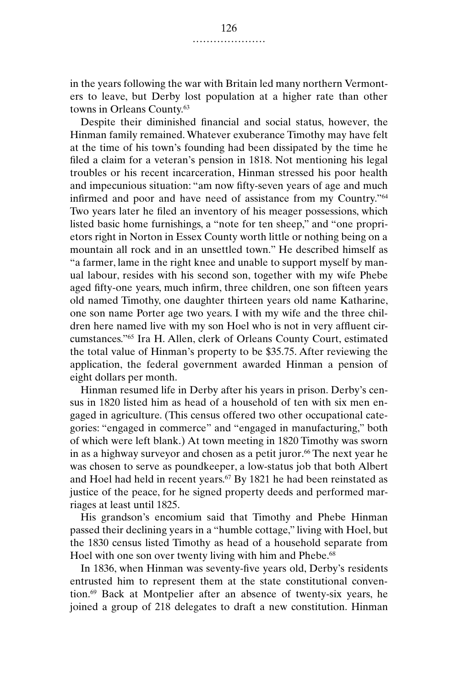in the years following the war with Britain led many northern Vermonters to leave, but Derby lost population at a higher rate than other towns in Orleans County.63

Despite their diminished financial and social status, however, the Hinman family remained. Whatever exuberance Timothy may have felt at the time of his town's founding had been dissipated by the time he filed a claim for a veteran's pension in 1818. Not mentioning his legal troubles or his recent incarceration, Hinman stressed his poor health and impecunious situation: "am now fifty-seven years of age and much infirmed and poor and have need of assistance from my Country."64 Two years later he filed an inventory of his meager possessions, which listed basic home furnishings, a "note for ten sheep," and "one proprietors right in Norton in Essex County worth little or nothing being on a mountain all rock and in an unsettled town." He described himself as "a farmer, lame in the right knee and unable to support myself by manual labour, resides with his second son, together with my wife Phebe aged fifty-one years, much infirm, three children, one son fifteen years old named Timothy, one daughter thirteen years old name Katharine, one son name Porter age two years. I with my wife and the three children here named live with my son Hoel who is not in very affluent circumstances."65 Ira H. Allen, clerk of Orleans County Court, estimated the total value of Hinman's property to be \$35.75. After reviewing the application, the federal government awarded Hinman a pension of eight dollars per month.

Hinman resumed life in Derby after his years in prison. Derby's census in 1820 listed him as head of a household of ten with six men engaged in agriculture. (This census offered two other occupational categories: "engaged in commerce" and "engaged in manufacturing," both of which were left blank.) At town meeting in 1820 Timothy was sworn in as a highway surveyor and chosen as a petit juror.<sup>66</sup> The next year he was chosen to serve as poundkeeper, a low-status job that both Albert and Hoel had held in recent years.67 By 1821 he had been reinstated as justice of the peace, for he signed property deeds and performed marriages at least until 1825.

His grandson's encomium said that Timothy and Phebe Hinman passed their declining years in a "humble cottage," living with Hoel, but the 1830 census listed Timothy as head of a household separate from Hoel with one son over twenty living with him and Phebe.<sup>68</sup>

In 1836, when Hinman was seventy-five years old, Derby's residents entrusted him to represent them at the state constitutional convention.69 Back at Montpelier after an absence of twenty-six years, he joined a group of 218 delegates to draft a new constitution. Hinman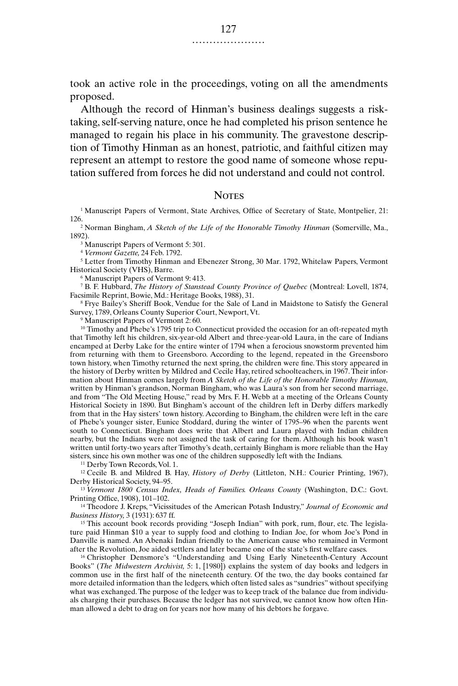took an active role in the proceedings, voting on all the amendments proposed.

Although the record of Hinman's business dealings suggests a risktaking, self-serving nature, once he had completed his prison sentence he managed to regain his place in his community. The gravestone description of Timothy Hinman as an honest, patriotic, and faithful citizen may represent an attempt to restore the good name of someone whose reputation suffered from forces he did not understand and could not control.

## **NOTES**

<sup>1</sup> Manuscript Papers of Vermont, State Archives, Office of Secretary of State, Montpelier, 21: 126.2 Norman Bingham, *A Sketch of the Life of the Honorable Timothy Hinman* (Somerville, Ma.,

1892).

<sup>3</sup> Manuscript Papers of Vermont 5:301.

<sup>4</sup> *Vermont Gazette,* 24 Feb. 1792.

<sup>5</sup> Letter from Timothy Hinman and Ebenezer Strong, 30 Mar. 1792, Whitelaw Papers, Vermont Historical Society (VHS), Barre.

<sup>6</sup> Manuscript Papers of Vermont 9: 413.

<sup>7</sup> B. F. Hubbard, *The History of Stanstead County Province of Quebec* (Montreal: Lovell, 1874, Facsimile Reprint, Bowie, Md.: Heritage Books, 1988), 31.

<sup>8</sup> Frye Bailey's Sheriff Book, Vendue for the Sale of Land in Maidstone to Satisfy the General Survey, 1789, Orleans County Superior Court, Newport, Vt.

<sup>9</sup> Manuscript Papers of Vermont 2: 60.

 $10$  Timothy and Phebe's 1795 trip to Connecticut provided the occasion for an oft-repeated myth that Timothy left his children, six-year-old Albert and three-year-old Laura, in the care of Indians encamped at Derby Lake for the entire winter of 1794 when a ferocious snowstorm prevented him from returning with them to Greensboro. According to the legend, repeated in the Greensboro town history, when Timothy returned the next spring, the children were fine. This story appeared in the history of Derby written by Mildred and Cecile Hay, retired schoolteachers, in 1967. Their information about Hinman comes largely from *A Sketch of the Life of the Honorable Timothy Hinman,* written by Hinman's grandson, Norman Bingham, who was Laura's son from her second marriage, and from "The Old Meeting House," read by Mrs. F. H. Webb at a meeting of the Orleans County Historical Society in 1890. But Bingham's account of the children left in Derby differs markedly from that in the Hay sisters' town history. According to Bingham, the children were left in the care of Phebe's younger sister, Eunice Stoddard, during the winter of 1795–96 when the parents went south to Connecticut. Bingham does write that Albert and Laura played with Indian children nearby, but the Indians were not assigned the task of caring for them. Although his book wasn't written until forty-two years after Timothy's death, certainly Bingham is more reliable than the Hay sisters, since his own mother was one of the children supposedly left with the Indians.

<sup>11</sup> Derby Town Records, Vol. 1.

<sup>12</sup> Cecile B. and Mildred B. Hay, *History of Derby* (Littleton, N.H.: Courier Printing, 1967), Derby Historical Society, 94–95.

<sup>13</sup> *Vermont 1800 Census Index, Heads of Families. Orleans County* (Washington, D.C.: Govt. Printing Office, 1908), 101–102.

<sup>14</sup> Theodore J. Kreps, "Vicissitudes of the American Potash Industry," *Journal of Economic and Business History,* 3 (1931): 637 ff.

<sup>15</sup> This account book records providing "Joseph Indian" with pork, rum, flour, etc. The legislature paid Hinman \$10 a year to supply food and clothing to Indian Joe, for whom Joe's Pond in Danville is named. An Abenaki Indian friendly to the American cause who remained in Vermont after the Revolution, Joe aided settlers and later became one of the state's first welfare cases.

<sup>16</sup> Christopher Densmore's "Understanding and Using Early Nineteenth-Century Account Books" (*The Midwestern Archivist,* 5: 1, [1980]) explains the system of day books and ledgers in common use in the first half of the nineteenth century. Of the two, the day books contained far more detailed information than the ledgers, which often listed sales as "sundries" without specifying what was exchanged. The purpose of the ledger was to keep track of the balance due from individuals charging their purchases. Because the ledger has not survived, we cannot know how often Hinman allowed a debt to drag on for years nor how many of his debtors he forgave.

.....................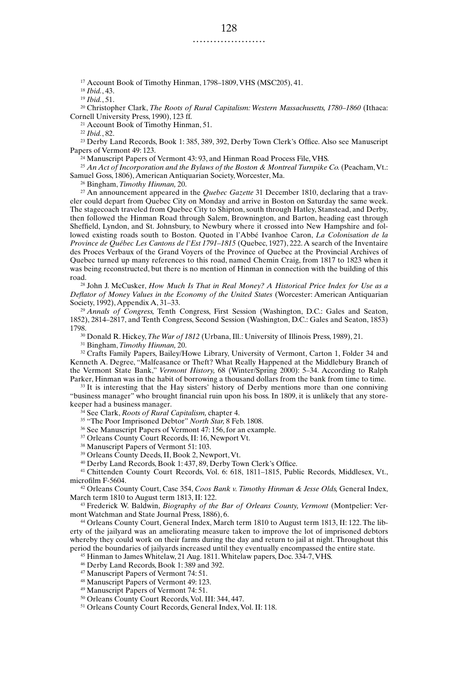<sup>17</sup> Account Book of Timothy Hinman, 1798–1809, VHS (MSC205), 41.

<sup>18</sup> *Ibid.*, 43.

<sup>19</sup> *Ibid.*, 51.

<sup>20</sup> Christopher Clark, *The Roots of Rural Capitalism: Western Massachusetts, 1780–1860* (Ithaca: Cornell University Press, 1990), 123 ff.

<sup>21</sup> Account Book of Timothy Hinman, 51.

<sup>22</sup> *Ibid.*, 82.

<sup>23</sup> Derby Land Records, Book 1: 385, 389, 392, Derby Town Clerk's Office. Also see Manuscript Papers of Vermont 49: 123.

<sup>24</sup> Manuscript Papers of Vermont 43: 93, and Hinman Road Process File, VHS.

<sup>25</sup> *An Act of Incorporation and the Bylaws of the Boston & Montreal Turnpike Co.* (Peacham, Vt.: Samuel Goss, 1806), American Antiquarian Society, Worcester, Ma.

<sup>26</sup> Bingham, *Timothy Hinman,* 20.

<sup>27</sup> An announcement appeared in the *Quebec Gazette* 31 December 1810, declaring that a traveler could depart from Quebec City on Monday and arrive in Boston on Saturday the same week. The stagecoach traveled from Quebec City to Shipton, south through Hatley, Stanstead, and Derby, then followed the Hinman Road through Salem, Brownington, and Barton, heading east through Sheffield, Lyndon, and St. Johnsbury, to Newbury where it crossed into New Hampshire and followed existing roads south to Boston. Quoted in l'Abbé Ivanhoe Caron, *La Colonisation de la Province de Québec Les Cantons de l'Est 1791–1815* (Quebec, 1927), 222. A search of the Inventaire des Proces Verbaux of the Grand Voyers of the Province of Quebec at the Provincial Archives of Quebec turned up many references to this road, named Chemin Craig, from 1817 to 1823 when it was being reconstructed, but there is no mention of Hinman in connection with the building of this road.

<sup>28</sup> John J. McCusker, *How Much Is That in Real Money? A Historical Price Index for Use as a Deflator of Money Values in the Economy of the United States* (Worcester: American Antiquarian Society, 1992), Appendix A, 31–33.

<sup>29</sup> *Annals of Congress,* Tenth Congress, First Session (Washington, D.C.: Gales and Seaton, 1852), 2814–2817, and Tenth Congress, Second Session (Washington, D.C.: Gales and Seaton, 1853) 1798.

<sup>30</sup> Donald R. Hickey, *The War of 1812* (Urbana, Ill.: University of Illinois Press, 1989), 21.

<sup>31</sup> Bingham, *Timothy Hinman,* 20.

<sup>32</sup> Crafts Family Papers, Bailey/Howe Library, University of Vermont, Carton 1, Folder 34 and Kenneth A. Degree, "Malfeasance or Theft? What Really Happened at the Middlebury Branch of the Vermont State Bank," *Vermont History,* 68 (Winter/Spring 2000): 5–34. According to Ralph Parker, Hinman was in the habit of borrowing a thousand dollars from the bank from time to time.

<sup>33</sup> It is interesting that the Hay sisters' history of Derby mentions more than one conniving "business manager" who brought financial ruin upon his boss. In 1809, it is unlikely that any storekeeper had a business manager.

<sup>34</sup> See Clark, *Roots of Rural Capitalism,* chapter 4.

<sup>35</sup> "The Poor Imprisoned Debtor" *North Star,* 8 Feb. 1808.

<sup>36</sup> See Manuscript Papers of Vermont 47: 156, for an example.

<sup>37</sup> Orleans County Court Records, II: 16, Newport Vt.

<sup>38</sup> Manuscript Papers of Vermont 51: 103.

<sup>39</sup> Orleans County Deeds, II, Book 2, Newport, Vt.

<sup>40</sup> Derby Land Records, Book 1: 437, 89, Derby Town Clerk's Office.

<sup>41</sup> Chittenden County Court Records, Vol. 6: 618, 1811–1815, Public Records, Middlesex, Vt., microfilm F-5604.

<sup>42</sup> Orleans County Court, Case 354, *Coos Bank v. Timothy Hinman & Jesse Olds,* General Index, March term 1810 to August term 1813, II: 122.

<sup>43</sup> Frederick W. Baldwin, *Biography of the Bar of Orleans County, Vermont* (Montpelier: Vermont Watchman and State Journal Press, 1886), 6.

<sup>44</sup> Orleans County Court, General Index, March term 1810 to August term 1813, II: 122. The liberty of the jailyard was an ameliorating measure taken to improve the lot of imprisoned debtors whereby they could work on their farms during the day and return to jail at night. Throughout this period the boundaries of jailyards increased until they eventually encompassed the entire state.

<sup>45</sup> Hinman to James Whitelaw, 21 Aug. 1811. Whitelaw papers, Doc. 334-7, VHS.

<sup>46</sup> Derby Land Records, Book 1: 389 and 392.

<sup>47</sup> Manuscript Papers of Vermont 74: 51.

<sup>48</sup> Manuscript Papers of Vermont 49: 123.

<sup>49</sup> Manuscript Papers of Vermont 74: 51.

<sup>50</sup> Orleans County Court Records, Vol. III: 344, 447.

<sup>51</sup> Orleans County Court Records, General Index, Vol. II: 118.